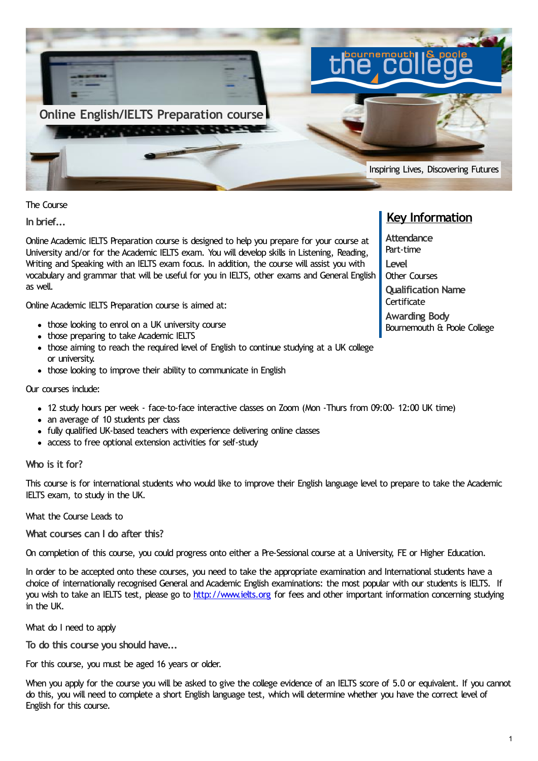

The Course

**In brief...**

Online Academic IELTS Preparation course is designed to help you prepare for your course at University and/or for the Academic IELTS exam. You will develop skills in Listening, Reading, Writing and Speaking with an IELTS exam focus. In addition, the course will assist you with vocabulary and grammar that will be useful for you in IELTS, other exams and General English as well.

Online Academic IELTS Preparation course is aimed at:

- those looking to enrol on a UK university course
- those preparing to take Academic IELTS
- those aiming to reach the required level of English to continue studying at a UK college or university.
- those looking to improve their ability to communicate in English

#### Our courses include:

- 12 study hours per week face-to-face interactive classes on Zoom (Mon -Thurs from 09:00- 12:00 UK time)
- an average of 10 students per class
- fully qualified UK-based teachers with experience delivering online classes
- access to free optional extension activities for self-study

#### **Who is it for?**

This course is for international students who would like to improve their English language level to prepare to take the Academic IELTS exam, to study in the UK.

What the Course Leads to

**What courses can I do after this?**

On completion of this course, you could progress onto either a Pre-Sessional course at a University, FE or Higher Education.

In order to be accepted onto these courses, you need to take the appropriate examination and International students have a choice of internationally recognised General and Academic English examinations: the most popular with our students is IELTS. If you wish to take an IELTS test, please go to [http://www.ielts.org](http://www.ielts.org/) for fees and other important information concerning studying in the UK.

What do I need to apply

**To do this course you should have...**

For this course, you must be aged 16 years or older.

When you apply for the course you will be asked to give the college evidence of an IELTS score of 5.0 or equivalent. If you cannot do this, you will need to complete a short English language test, which will determine whether you have the correct level of English for this course.

# **Key Information**

**Attendance** Part-time **Level** Other Courses **Qualification Name Certificate Awarding Body** Bournemouth & Poole College